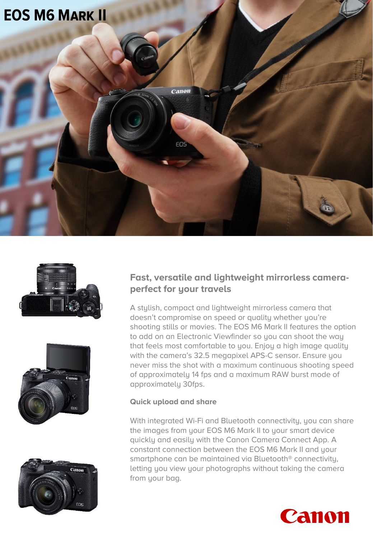







#### **Fast, versatile and lightweight mirrorless cameraperfect for your travels**

A stylish, compact and lightweight mirrorless camera that doesn't compromise on speed or quality whether you're shooting stills or movies. The EOS M6 Mark II features the option to add on an Electronic Viewfinder so you can shoot the way that feels most comfortable to you. Enjoy a high image quality with the camera's 32.5 megapixel APS-C sensor. Ensure you never miss the shot with a maximum continuous shooting speed of approximately 14 fps and a maximum RAW burst mode of approximately 30fps.

#### **Quick upload and share**

With integrated Wi-Fi and Bluetooth connectivity, you can share the images from your EOS M6 Mark II to your smart device quickly and easily with the Canon Camera Connect App. A constant connection between the EOS M6 Mark II and your smartphone can be maintained via Bluetooth® connectivity, letting you view your photographs without taking the camera from your bag.

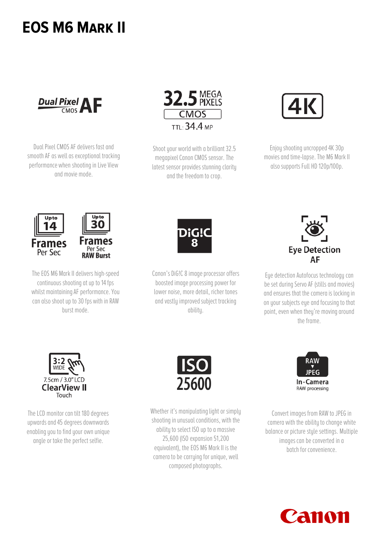## **EOS M6 Mark II**



Dual Pixel CMOS AF delivers fast and smooth AF as well as exceptional tracking performance when shooting in Live View and movie mode.



Shoot your world with a brilliant 32.5 megapixel Canon CMOS sensor. The latest sensor provides stunning clarity and the freedom to crop.



Enjoy shooting uncropped 4K 30p movies and time-lapse. The M6 Mark II also supports Full HD 120p/100p.



The EOS M6 Mark II delivers high-speed continuous shooting at up to 14 fps whilst maintaining AF performance. You can also shoot up to 30 fps with in RAW burst mode.



Canon's DiG!C 8 image processor offers boosted image processing power for lower noise, more detail, richer tones and vastly improved subject tracking ability.



Eye detection Autofocus technology can be set during Servo AF (stills and movies) and ensures that the camera is locking in on your subjects eye and focusing to that point, even when they're moving around the frame.



The LCD monitor can tilt 180 degrees upwards and 45 degrees downwards enabling you to find your own unique angle or take the perfect selfie.



Whether it's manipulating light or simply shooting in unusual conditions, with the ability to select ISO up to a massive 25,600 (ISO expansion 51,200 equivalent), the EOS M6 Mark II is the camera to be carrying for unique, well composed photographs.



Convert images from RAW to JPEG in camera with the ability to change white balance or picture style settings. Multiple images can be converted in a batch for convenience.

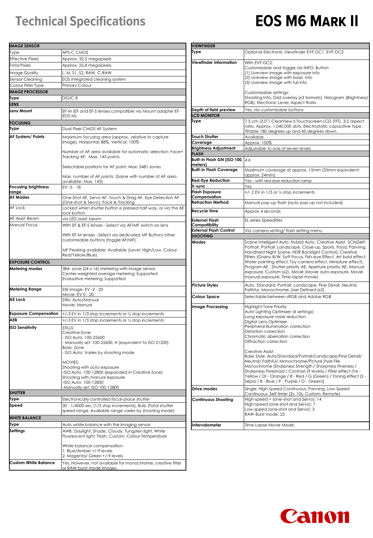### **Technical Specifications**

# **EOS M6 Mark II**

| <b>IMAGE SENSOR</b>         |                                                                                                                                                              | <b>VIEWFINDER</b>                     |                                                                                                                                    |
|-----------------------------|--------------------------------------------------------------------------------------------------------------------------------------------------------------|---------------------------------------|------------------------------------------------------------------------------------------------------------------------------------|
| Type                        | APS-C CMOS                                                                                                                                                   | Type                                  | Optional Electronic Viewfinder EVF-DC1, EVF-DC2                                                                                    |
| Effective Pixels            | Approx. 32.5 megapixels                                                                                                                                      |                                       |                                                                                                                                    |
| <b>Total Pixels</b>         | Approx. 25.8 megapixels                                                                                                                                      | Viewfinder Information                | With EVF-DC2:<br>Customisable and toggle via INFO. Button                                                                          |
| Image Quality               | L, M, S1, S2, RAW, C-RAW                                                                                                                                     |                                       | (1) Liveview image with exposure info                                                                                              |
| Sensor Cleaning             | EOS integrated cleaning system                                                                                                                               |                                       | (2) Liveview image with basic info                                                                                                 |
| Colour Filter Type          | Primary Colour                                                                                                                                               |                                       | (3) Liveview image with full info                                                                                                  |
| <b>MAGE PROCESSOR</b>       |                                                                                                                                                              |                                       | Customisable settings:                                                                                                             |
| lype                        | DIGIC <sub>8</sub>                                                                                                                                           |                                       | Shooting Info, Grid overlay (x3 formats), Histogram (Brightness)                                                                   |
| <b>LENS</b>                 |                                                                                                                                                              |                                       | RGB), Electronic Level, Aspect Ratio                                                                                               |
| Lens Mount                  | EF-M (EF and EF-S lenses compatible via Mount adapter EF-                                                                                                    | Depth of field preview                | Yes, via customisable buttons                                                                                                      |
|                             | EOS MI                                                                                                                                                       | <b>LCD MONITOR</b>                    |                                                                                                                                    |
| <b>FOCUSING</b>             |                                                                                                                                                              | Type                                  | 7.5 cm (3.0") ClearView II Touchscreen LCD (TFT). 3:2 aspect                                                                       |
| Type                        | Dual Pixel CMOS AF System                                                                                                                                    |                                       | ratio. Approx. 1,040,000 dots. Electrostatic capacitive type.<br>Tiltable 180 degrees up and 45 degrees down.                      |
| AF System/ Points           | Maximum focusing area (approx., relative to capture<br>image): Horizontal: 88%, Vertical: 100%<br>Number of AF area available for automatic selection: Face+ | <b>Touch Shutter</b>                  | Available                                                                                                                          |
|                             |                                                                                                                                                              | Coverage                              | Approx. 100%                                                                                                                       |
|                             |                                                                                                                                                              | <b>Brightness Adjustment</b>          | Adjustable to one of seven levels                                                                                                  |
|                             |                                                                                                                                                              | <b>FLASH</b>                          |                                                                                                                                    |
|                             | Tracking AF: Max. 143 points.                                                                                                                                | Built-in Flash GN (ISO 100, 4.6       |                                                                                                                                    |
|                             | Selectable positions for AF point: Max. 5481 zones                                                                                                           | meters)                               |                                                                                                                                    |
|                             |                                                                                                                                                              | <b>Built-in Flash Coverage</b>        | Maximum coverage at approx. 15mm (35mm equivalent:                                                                                 |
|                             | Max. number of AF points: (Same with number of AF area                                                                                                       |                                       | approx. 24mm)                                                                                                                      |
|                             | available: Max. 143)                                                                                                                                         | <b>Red-Eye Reduction</b>              | Yes - with red eye reduction lamp                                                                                                  |
| <b>Focusing brightness</b>  | $EV - 5 - 18$                                                                                                                                                | X-sync                                | Yes<br>+/-2 EV in 1/3 or 1/2 stop increments                                                                                       |
| range<br><b>AF Modes</b>    | One-Shot AF, Servo AF, Touch & Drag AF, Eye Detection AF                                                                                                     | <b>Flash Exposure</b><br>Compensation |                                                                                                                                    |
|                             | (One-shot & Servo), Face & Tracking                                                                                                                          | <b>Retraction Method</b>              | Manual pop-up flash (auto pop-up not included)                                                                                     |
| AF Lock                     | Locked when shutter button is pressed half way, or via the AE                                                                                                |                                       |                                                                                                                                    |
|                             | lock button.                                                                                                                                                 | Recycle time                          | Approx 4 seconds                                                                                                                   |
| AF Assist Beam              | via LED assist beam                                                                                                                                          | <b>External Flash</b>                 | <b>EL series Speedlites</b>                                                                                                        |
| Manual Focus                | With EF & EF-S lenses - Select via AF/MF switch on lens                                                                                                      | Compatibility                         |                                                                                                                                    |
|                             |                                                                                                                                                              | <b>External Flash Control</b>         | Via camera setting/ flash setting menu                                                                                             |
|                             | With EF-M lenses - Select via dedicated MF Button/ other                                                                                                     | <b>SHOOTING</b>                       |                                                                                                                                    |
|                             | customisable buttons (toggle AF/MF).                                                                                                                         | Modes                                 | Scene Intelligent Auto, Hybrid Auto, Creative Assist, SCN(Self-                                                                    |
|                             | MF Peaking available: Available (Level: High/Low, Colour                                                                                                     |                                       | Portrait, Portrait, Landscape, Close-up, Sports, Food, Panning,<br>Handheld Night Scene, HDR Backlight Control), Creative          |
|                             | Red/Yellow/Blue)                                                                                                                                             |                                       | Filters (Grainy B/W, Soft Focus, Fish-eye Effect, Art bold effect,                                                                 |
| <b>EXPOSURE CONTROL</b>     |                                                                                                                                                              |                                       | Water painting effect, Toy camera effect, Miniature effect),                                                                       |
| Metering modes              | 384-zone (24 x 16) metering with image sensor.                                                                                                               |                                       | Program AE, Shutter priority AE, Aperture priority AE, Manual                                                                      |
|                             | Center-weighted average metering: Supported                                                                                                                  |                                       | exposure, Custom (x2), Movie (Movie auto exposure, Movie                                                                           |
|                             | Evaluative metering: Supported                                                                                                                               |                                       | manual exposure, Time-lapse movie)                                                                                                 |
|                             |                                                                                                                                                              | <b>Picture Styles</b>                 | Auto, Standard, Portrait, Landscape, Fine Detail, Neutral,                                                                         |
| Metering Range              | Still image: EV -2 - 20                                                                                                                                      |                                       | Faithful, Monochrome, User Defined (x3)                                                                                            |
| <b>AE Lock</b>              | Movie: EV 0 - 20<br>Stills: Auto/Manual                                                                                                                      | Colour Space                          | Selectable between sRGB and Adobe RGB                                                                                              |
|                             | Movie: Manual                                                                                                                                                |                                       |                                                                                                                                    |
|                             |                                                                                                                                                              | Image Processing                      | <b>Highlight Tone Priority</b><br>Auto Lighting Optimizer (4 settings)                                                             |
|                             | <b>Exposure Compensation</b> $\vert$ +/-3 EV in 1/3 stop increments or $\frac{1}{2}$ stop increments                                                         |                                       | Long exposure noise reduction                                                                                                      |
| AFB                         | +/-3 EV in 1/3 stop increments or 1/2 stop increments                                                                                                        |                                       | Digital Lens Optimizer                                                                                                             |
| <b>ISO Sensitivity</b>      | STILLS:                                                                                                                                                      |                                       | Peripheral illumination correction                                                                                                 |
|                             | Creative Zone                                                                                                                                                |                                       | Distortion correction                                                                                                              |
|                             | - ISO Auto: 100-25600                                                                                                                                        |                                       | Chromatic aberration correction<br>Diffraction correction                                                                          |
|                             | Manually set: 100-25600, H (equivalent to ISO 51200)                                                                                                         |                                       |                                                                                                                                    |
|                             | Basic Zone<br>ISO Auto: Varies by shooting mode                                                                                                              |                                       | Creative Assist:                                                                                                                   |
|                             |                                                                                                                                                              |                                       | Base Style: Auto/Standard/Portrait/Landscape/Fine Detail/                                                                          |
|                             | MOVIES:                                                                                                                                                      |                                       | Neutral/Faithful/Monochrome/Picture Style File                                                                                     |
|                             | Shooting with auto exposure                                                                                                                                  |                                       | Monochrome (Sharpness Strength / Sharpness Fineness /                                                                              |
|                             | -ISO Auto: 100-12800 (expanded in Creative Zone)                                                                                                             |                                       | Sharpness Threshold / Contrast (9 levels) / Filter effect (Ye -<br>Yellow / Or - Orange / R - Red / G (Green) / Toning effect (S - |
|                             | Shooting with manual exposure<br>-ISO Auto: 100-12800                                                                                                        |                                       | Sepia / B - Blue / P - Purple / G - Green))                                                                                        |
|                             | -Manually set: ISO 100-12800                                                                                                                                 |                                       |                                                                                                                                    |
| <b>SHUTTER</b>              |                                                                                                                                                              | Drive modes                           | Single, High-Speed Continuous, Panning, Low-Speed<br>Continuous, Self timer (2s, 10s, Custom, Remote)                              |
| iype                        | Electronically controlled focal-place shutter                                                                                                                | <b>Continuous Shooting</b>            | High-speed + (one-shot and Servo): 14                                                                                              |
| Speed                       | 30 - 1/4000 sec (1/3 stop increments), Bulb (Total shutter                                                                                                   |                                       | High-speed (one-shot and Servo): 7                                                                                                 |
|                             | speed range. Available range varies by shooting mode)                                                                                                        |                                       | Low-speed (one-shot and Servo): 3                                                                                                  |
| <b>WHITE BALANCE</b>        |                                                                                                                                                              |                                       | RAW Burst mode: 23                                                                                                                 |
|                             |                                                                                                                                                              |                                       |                                                                                                                                    |
| Type                        | Auto white balance with the imaging sensor                                                                                                                   | Intervalometer                        | Time-Lapse Movie Mode                                                                                                              |
| Settings                    | AWB, Davliaht, Shade, Cloudy, Tunasten liaht, White                                                                                                          |                                       |                                                                                                                                    |
|                             | Fluorescent light, Flash, Custom, Colour Temperature                                                                                                         |                                       |                                                                                                                                    |
|                             | White balance compensation:                                                                                                                                  |                                       |                                                                                                                                    |
|                             | 1. Blue/Amber +/-9 levels                                                                                                                                    |                                       |                                                                                                                                    |
|                             | 2. Magenta/ Green +/-9 levels                                                                                                                                |                                       |                                                                                                                                    |
| <b>Custom White Balance</b> | Yes. However, not available for monochrome, creative filter                                                                                                  |                                       |                                                                                                                                    |
|                             | or RAW burst mode images.                                                                                                                                    |                                       |                                                                                                                                    |